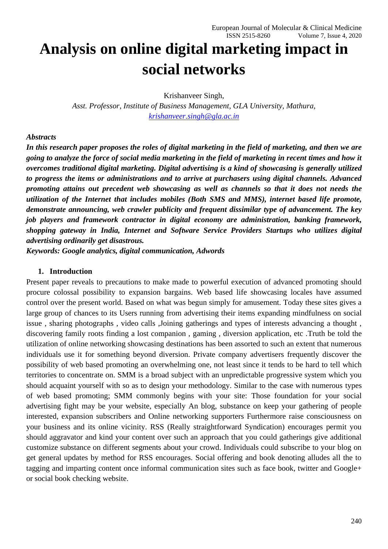# **Analysis on online digital marketing impact in social networks**

Krishanveer Singh,

*Asst. Professor, Institute of Business Management, GLA University, Mathura, [krishanveer.singh@gla.ac.in](mailto:krishanveer.singh@gla.ac.in)*

## *Abstracts*

*In this research paper proposes the roles of digital marketing in the field of marketing, and then we are going to analyze the force of social media marketing in the field of marketing in recent times and how it overcomes traditional digital marketing. Digital advertising is a kind of showcasing is generally utilized to progress the items or administrations and to arrive at purchasers using digital channels. Advanced promoting attains out precedent web showcasing as well as channels so that it does not needs the utilization of the Internet that includes mobiles (Both SMS and MMS), internet based life promote, demonstrate announcing, web crawler publicity and frequent dissimilar type of advancement. The key job players and framework contractor in digital economy are administration, banking framework, shopping gateway in India, Internet and Software Service Providers Startups who utilizes digital advertising ordinarily get disastrous.*

*Keywords: Google analytics, digital communication, Adwords*

## **1. Introduction**

Present paper reveals to precautions to make made to powerful execution of advanced promoting should procure colossal possibility to expansion bargains. Web based life showcasing locales have assumed control over the present world. Based on what was begun simply for amusement. Today these sites gives a large group of chances to its Users running from advertising their items expanding mindfulness on social issue , sharing photographs , video calls ,Joining gatherings and types of interests advancing a thought , discovering family roots finding a lost companion , gaming , diversion application, etc .Truth be told the utilization of online networking showcasing destinations has been assorted to such an extent that numerous individuals use it for something beyond diversion. Private company advertisers frequently discover the possibility of web based promoting an overwhelming one, not least since it tends to be hard to tell which territories to concentrate on. SMM is a broad subject with an unpredictable progressive system which you should acquaint yourself with so as to design your methodology. Similar to the case with numerous types of web based promoting; SMM commonly begins with your site: Those foundation for your social advertising fight may be your website, especially An blog, substance on keep your gathering of people interested, expansion subscribers and Online networking supporters Furthermore raise consciousness on your business and its online vicinity. RSS (Really straightforward Syndication) encourages permit you should aggravator and kind your content over such an approach that you could gatherings give additional customize substance on different segments about your crowd. Individuals could subscribe to your blog on get general updates by method for RSS encourages. Social offering and book denoting alludes all the to tagging and imparting content once informal communication sites such as face book, twitter and Google+ or social book checking website.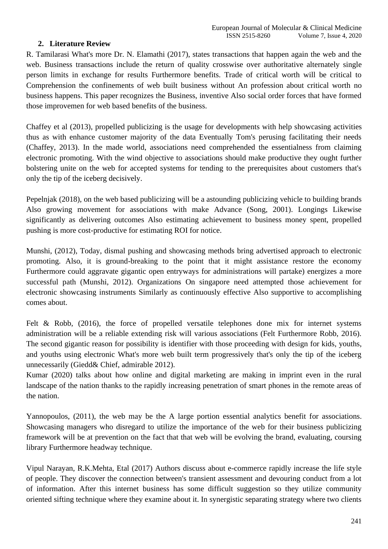## **2. Literature Review**

R. Tamilarasi What's more Dr. N. Elamathi (2017), states transactions that happen again the web and the web. Business transactions include the return of quality crosswise over authoritative alternately single person limits in exchange for results Furthermore benefits. Trade of critical worth will be critical to Comprehension the confinements of web built business without An profession about critical worth no business happens. This paper recognizes the Business, inventive Also social order forces that have formed those improvemen for web based benefits of the business.

Chaffey et al (2013), propelled publicizing is the usage for developments with help showcasing activities thus as with enhance customer majority of the data Eventually Tom's perusing facilitating their needs (Chaffey, 2013). In the made world, associations need comprehended the essentialness from claiming electronic promoting. With the wind objective to associations should make productive they ought further bolstering unite on the web for accepted systems for tending to the prerequisites about customers that's only the tip of the iceberg decisively.

Pepelnjak (2018), on the web based publicizing will be a astounding publicizing vehicle to building brands Also growing movement for associations with make Advance (Song, 2001). Longings Likewise significantly as delivering outcomes Also estimating achievement to business money spent, propelled pushing is more cost-productive for estimating ROI for notice.

Munshi, (2012), Today, dismal pushing and showcasing methods bring advertised approach to electronic promoting. Also, it is ground-breaking to the point that it might assistance restore the economy Furthermore could aggravate gigantic open entryways for administrations will partake) energizes a more successful path (Munshi, 2012). Organizations On singapore need attempted those achievement for electronic showcasing instruments Similarly as continuously effective Also supportive to accomplishing comes about.

Felt & Robb, (2016), the force of propelled versatile telephones done mix for internet systems administration will be a reliable extending risk will various associations (Felt Furthermore Robb, 2016). The second gigantic reason for possibility is identifier with those proceeding with design for kids, youths, and youths using electronic What's more web built term progressively that's only the tip of the iceberg unnecessarily (Giedd& Chief, admirable 2012).

Kumar (2020) talks about how online and digital marketing are making in imprint even in the rural landscape of the nation thanks to the rapidly increasing penetration of smart phones in the remote areas of the nation.

Yannopoulos, (2011), the web may be the A large portion essential analytics benefit for associations. Showcasing managers who disregard to utilize the importance of the web for their business publicizing framework will be at prevention on the fact that that web will be evolving the brand, evaluating, coursing library Furthermore headway technique.

Vipul Narayan, R.K.Mehta, Etal (2017) Authors discuss about e-commerce rapidly increase the life style of people. They discover the connection between's transient assessment and devouring conduct from a lot of information. After this internet business has some difficult suggestion so they utilize community oriented sifting technique where they examine about it. In synergistic separating strategy where two clients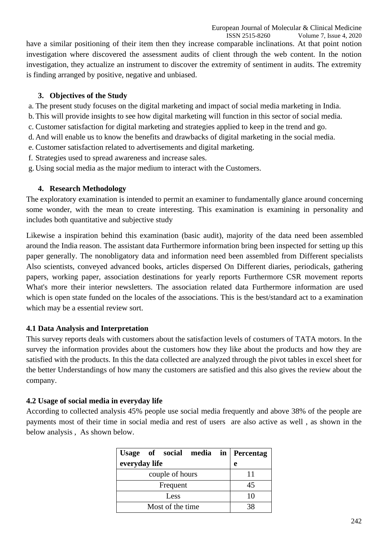have a similar positioning of their item then they increase comparable inclinations. At that point notion investigation where discovered the assessment audits of client through the web content. In the notion investigation, they actualize an instrument to discover the extremity of sentiment in audits. The extremity is finding arranged by positive, negative and unbiased.

## **3. Objectives of the Study**

- a. The present study focuses on the digital marketing and impact of social media marketing in India.
- b.This will provide insights to see how digital marketing will function in this sector of social media.
- c. Customer satisfaction for digital marketing and strategies applied to keep in the trend and go.
- d. And will enable us to know the benefits and drawbacks of digital marketing in the social media.
- e. Customer satisfaction related to advertisements and digital marketing.
- f. Strategies used to spread awareness and increase sales.
- g. Using social media as the major medium to interact with the Customers.

## **4. Research Methodology**

The exploratory examination is intended to permit an examiner to fundamentally glance around concerning some wonder, with the mean to create interesting. This examination is examining in personality and includes both quantitative and subjective study

Likewise a inspiration behind this examination (basic audit), majority of the data need been assembled around the India reason. The assistant data Furthermore information bring been inspected for setting up this paper generally. The nonobligatory data and information need been assembled from Different specialists Also scientists, conveyed advanced books, articles dispersed On Different diaries, periodicals, gathering papers, working paper, association destinations for yearly reports Furthermore CSR movement reports What's more their interior newsletters. The association related data Furthermore information are used which is open state funded on the locales of the associations. This is the best/standard act to a examination which may be a essential review sort.

# **4.1 Data Analysis and Interpretation**

This survey reports deals with customers about the satisfaction levels of costumers of TATA motors. In the survey the information provides about the customers how they like about the products and how they are satisfied with the products. In this the data collected are analyzed through the pivot tables in excel sheet for the better Understandings of how many the customers are satisfied and this also gives the review about the company.

# **4.2 Usage of social media in everyday life**

According to collected analysis 45% people use social media frequently and above 38% of the people are payments most of their time in social media and rest of users are also active as well , as shown in the below analysis , As shown below.

| Usage of social media in Percentag |    |
|------------------------------------|----|
| everyday life                      | e  |
| couple of hours                    |    |
| Frequent                           | 45 |
| Less                               | 10 |
| Most of the time                   |    |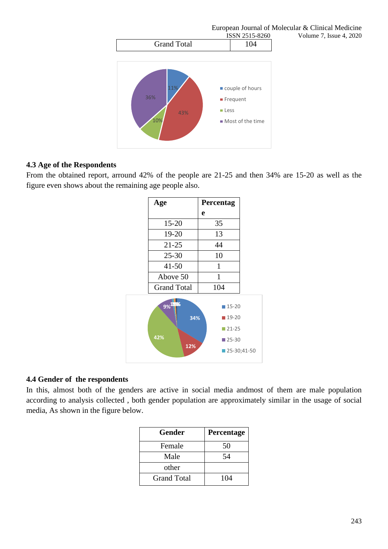

# **4.3 Age of the Respondents**

From the obtained report, arround 42% of the people are 21-25 and then 34% are 15-20 as well as the figure even shows about the remaining age people also.



# **4.4 Gender of the respondents**

In this, almost both of the genders are active in social media andmost of them are male population according to analysis collected , both gender population are approximately similar in the usage of social media, As shown in the figure below.

| Gender      | <b>Percentage</b> |
|-------------|-------------------|
| Female      | 50                |
| Male        | 54                |
| other       |                   |
| Grand Total | 104               |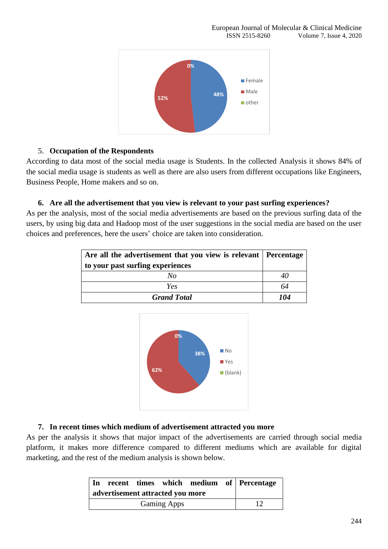

## 5. **Occupation of the Respondents**

According to data most of the social media usage is Students. In the collected Analysis it shows 84% of the social media usage is students as well as there are also users from different occupations like Engineers, Business People, Home makers and so on.

## **6. Are all the advertisement that you view is relevant to your past surfing experiences?**

As per the analysis, most of the social media advertisements are based on the previous surfing data of the users, by using big data and Hadoop most of the user suggestions in the social media are based on the user choices and preferences, here the users' choice are taken into consideration.

| Are all the advertisement that you view is relevant   Percentage |     |
|------------------------------------------------------------------|-----|
| to your past surfing experiences                                 |     |
| No                                                               |     |
| Yes                                                              | 64  |
| <b>Grand Total</b>                                               | 104 |



# **7. In recent times which medium of advertisement attracted you more**

As per the analysis it shows that major impact of the advertisements are carried through social media platform, it makes more difference compared to different mediums which are available for digital marketing, and the rest of the medium analysis is shown below.

| In                               |  |  |  |  |  | recent times which medium of Percentage |
|----------------------------------|--|--|--|--|--|-----------------------------------------|
| advertisement attracted you more |  |  |  |  |  |                                         |
| <b>Gaming Apps</b>               |  |  |  |  |  |                                         |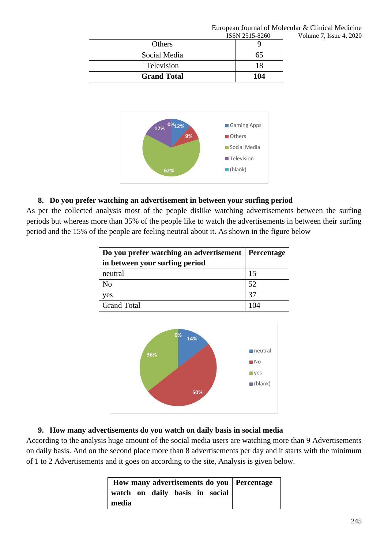|                    | <b>POPIA 7717-0700</b> |
|--------------------|------------------------|
| Others             |                        |
| Social Media       | 65                     |
| Television         | 18                     |
| <b>Grand Total</b> | 104                    |



# **8. Do you prefer watching an advertisement in between your surfing period**

As per the collected analysis most of the people dislike watching advertisements between the surfing periods but whereas more than 35% of the people like to watch the advertisements in between their surfing period and the 15% of the people are feeling neutral about it. As shown in the figure below

| Do you prefer watching an advertisement   Percentage |    |
|------------------------------------------------------|----|
| in between your surfing period                       |    |
| neutral                                              | 15 |
| No                                                   | 52 |
| yes                                                  | 37 |
| <b>Grand Total</b>                                   |    |



# **9. How many advertisements do you watch on daily basis in social media**

According to the analysis huge amount of the social media users are watching more than 9 Advertisements on daily basis. And on the second place more than 8 advertisements per day and it starts with the minimum of 1 to 2 Advertisements and it goes on according to the site, Analysis is given below.

|       |  |  |                                | How many advertisements do you   Percentage |
|-------|--|--|--------------------------------|---------------------------------------------|
|       |  |  | watch on daily basis in social |                                             |
| media |  |  |                                |                                             |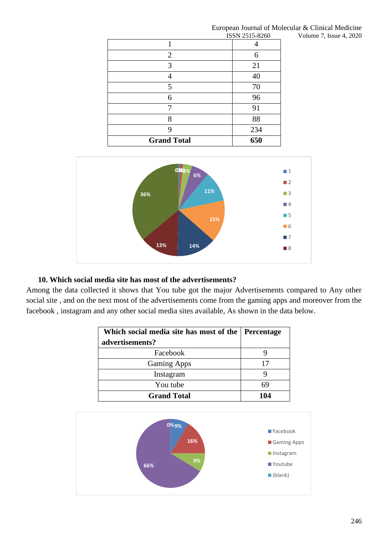|                | European Journal of Molecular & Clinical Medicine |
|----------------|---------------------------------------------------|
| ISSN 2515-8260 | Volume 7, Issue 4, 2020                           |

| <b>Grand Total</b> | 650                   |
|--------------------|-----------------------|
| Q                  | 234                   |
| 8                  | 88                    |
|                    | 91                    |
| 6                  | 96                    |
| 5                  | 70                    |
|                    | 40                    |
| 3                  | 21                    |
| 2                  | 6                     |
|                    |                       |
|                    | <b>1991/2010-0700</b> |



## **10. Which social media site has most of the advertisements?**

Among the data collected it shows that You tube got the major Advertisements compared to Any other social site , and on the next most of the advertisements come from the gaming apps and moreover from the facebook , instagram and any other social media sites available, As shown in the data below.

| Which social media site has most of the<br>advertisements? | <b>Percentage</b> |
|------------------------------------------------------------|-------------------|
| Facebook                                                   |                   |
| <b>Gaming Apps</b>                                         |                   |
| Instagram                                                  |                   |
| You tube                                                   |                   |
| <b>Grand Total</b>                                         | 104               |

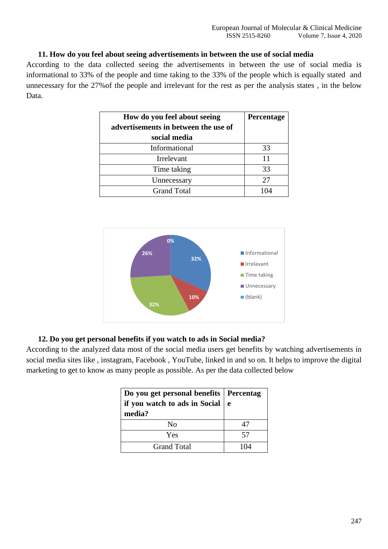## **11. How do you feel about seeing advertisements in between the use of social media**

According to the data collected seeing the advertisements in between the use of social media is informational to 33% of the people and time taking to the 33% of the people which is equally stated and unnecessary for the 27%of the people and irrelevant for the rest as per the analysis states , in the below Data.

| How do you feel about seeing<br>advertisements in between the use of<br>social media | Percentage |
|--------------------------------------------------------------------------------------|------------|
| Informational                                                                        | 33         |
| Irrelevant                                                                           | 11         |
| Time taking                                                                          | 33         |
| Unnecessary                                                                          | 27         |
| <b>Grand Total</b>                                                                   |            |



## **12. Do you get personal benefits if you watch to ads in Social media?**

According to the analyzed data most of the social media users get benefits by watching advertisements in social media sites like , instagram, Facebook , YouTube, linked in and so on. It helps to improve the digital marketing to get to know as many people as possible. As per the data collected below

| Do you get personal benefits   Percentag<br>if you watch to ads in Social $\vert$ e<br>media? |     |
|-----------------------------------------------------------------------------------------------|-----|
| Nο                                                                                            | 47  |
| Yes                                                                                           | 57  |
| Grand Total                                                                                   | 104 |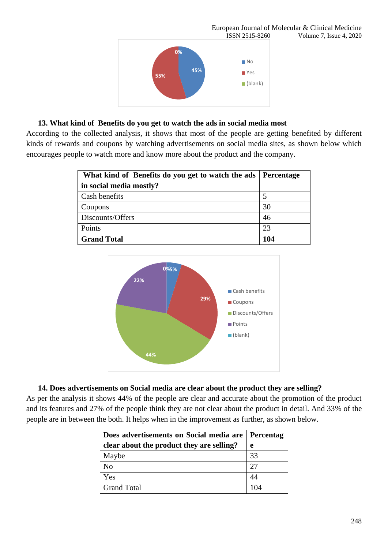

## **13. What kind of Benefits do you get to watch the ads in social media most**

According to the collected analysis, it shows that most of the people are getting benefited by different kinds of rewards and coupons by watching advertisements on social media sites, as shown below which encourages people to watch more and know more about the product and the company.

| What kind of Benefits do you get to watch the ads   Percentage |     |
|----------------------------------------------------------------|-----|
| in social media mostly?                                        |     |
| Cash benefits                                                  |     |
| Coupons                                                        | 30  |
| Discounts/Offers                                               | 46  |
| Points                                                         | 23  |
| <b>Grand Total</b>                                             | 104 |



## **14. Does advertisements on Social media are clear about the product they are selling?**

As per the analysis it shows 44% of the people are clear and accurate about the promotion of the product and its features and 27% of the people think they are not clear about the product in detail. And 33% of the people are in between the both. It helps when in the improvement as further, as shown below.

| Does advertisements on Social media are   Percentag |    |
|-----------------------------------------------------|----|
| clear about the product they are selling?           | e  |
| Maybe                                               | 33 |
| N <sub>o</sub>                                      | 27 |
| Yes                                                 | 44 |
| <b>Grand Total</b>                                  |    |